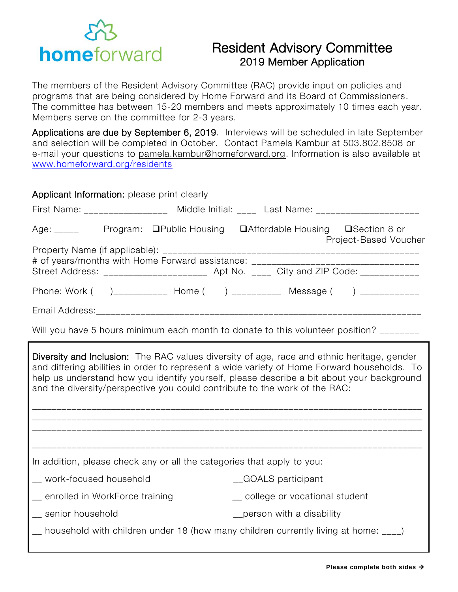

## Resident Advisory Committee 2019 Member Application

The members of the Resident Advisory Committee (RAC) provide input on policies and programs that are being considered by Home Forward and its Board of Commissioners. The committee has between 15-20 members and meets approximately 10 times each year. Members serve on the committee for 2-3 years.

Applications are due by September 6, 2019. Interviews will be scheduled in late September and selection will be completed in October. Contact Pamela Kambur at 503.802.8508 or e-mail your questions to [pamela.kambur@homeforward.org.](mailto:pamela.kambur@homeforward.org) Information is also available at [www.homeforward.org/residents](http://www.homeforward.org/residents)

| Applicant Information: please print clearly                                                                                                                                                                                                                                                                                                                                 |                                                                                         |  |  |  |
|-----------------------------------------------------------------------------------------------------------------------------------------------------------------------------------------------------------------------------------------------------------------------------------------------------------------------------------------------------------------------------|-----------------------------------------------------------------------------------------|--|--|--|
|                                                                                                                                                                                                                                                                                                                                                                             | First Name: ___________________ Middle Initial: ____ Last Name: _________________       |  |  |  |
| Age: _____ Program: □Public Housing □Affordable Housing □Section 8 or                                                                                                                                                                                                                                                                                                       | Project-Based Voucher                                                                   |  |  |  |
| # of years/months with Home Forward assistance: ________________________________                                                                                                                                                                                                                                                                                            | Street Address: _________________________ Apt No. _____ City and ZIP Code: ____________ |  |  |  |
|                                                                                                                                                                                                                                                                                                                                                                             | Phone: Work ( )___________ Home ( ) __________ Message ( ) ___________                  |  |  |  |
|                                                                                                                                                                                                                                                                                                                                                                             |                                                                                         |  |  |  |
| Will you have 5 hours minimum each month to donate to this volunteer position? _______                                                                                                                                                                                                                                                                                      |                                                                                         |  |  |  |
| <b>Diversity and Inclusion:</b> The RAC values diversity of age, race and ethnic heritage, gender<br>and differing abilities in order to represent a wide variety of Home Forward households. To<br>help us understand how you identify yourself, please describe a bit about your background<br>and the diversity/perspective you could contribute to the work of the RAC: |                                                                                         |  |  |  |
| In addition, please check any or all the categories that apply to you:                                                                                                                                                                                                                                                                                                      |                                                                                         |  |  |  |
| __ work-focused household                                                                                                                                                                                                                                                                                                                                                   | _GOALS participant                                                                      |  |  |  |
| _ enrolled in WorkForce training                                                                                                                                                                                                                                                                                                                                            | __ college or vocational student                                                        |  |  |  |
| __ senior household                                                                                                                                                                                                                                                                                                                                                         | _person with a disability                                                               |  |  |  |
| __ household with children under 18 (how many children currently living at home: ____)                                                                                                                                                                                                                                                                                      |                                                                                         |  |  |  |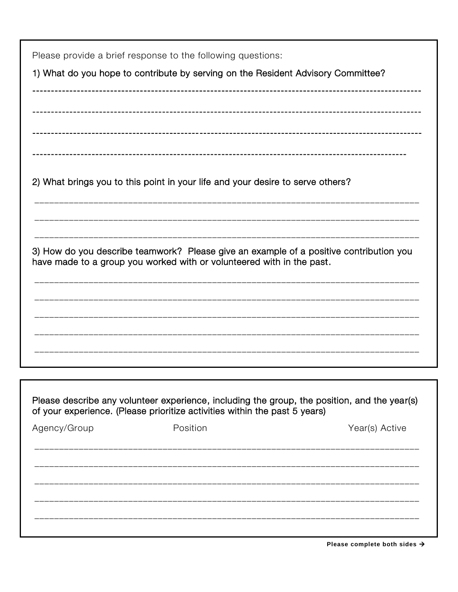| Please provide a brief response to the following questions:<br>1) What do you hope to contribute by serving on the Resident Advisory Committee? |                                                                                              |                |  |  |
|-------------------------------------------------------------------------------------------------------------------------------------------------|----------------------------------------------------------------------------------------------|----------------|--|--|
|                                                                                                                                                 |                                                                                              |                |  |  |
|                                                                                                                                                 |                                                                                              |                |  |  |
|                                                                                                                                                 | 2) What brings you to this point in your life and your desire to serve others?               |                |  |  |
|                                                                                                                                                 | 3) How do you describe teamwork? Please give an example of a positive contribution you       |                |  |  |
|                                                                                                                                                 | have made to a group you worked with or volunteered with in the past.                        |                |  |  |
|                                                                                                                                                 |                                                                                              |                |  |  |
|                                                                                                                                                 |                                                                                              |                |  |  |
|                                                                                                                                                 | Please describe any volunteer experience, including the group, the position, and the year(s) |                |  |  |
|                                                                                                                                                 | of your experience. (Please prioritize activities within the past 5 years)                   |                |  |  |
| Agency/Group                                                                                                                                    | Position                                                                                     | Year(s) Active |  |  |
|                                                                                                                                                 |                                                                                              |                |  |  |
|                                                                                                                                                 |                                                                                              |                |  |  |
|                                                                                                                                                 |                                                                                              |                |  |  |
|                                                                                                                                                 |                                                                                              |                |  |  |

Please complete both sides  $\rightarrow$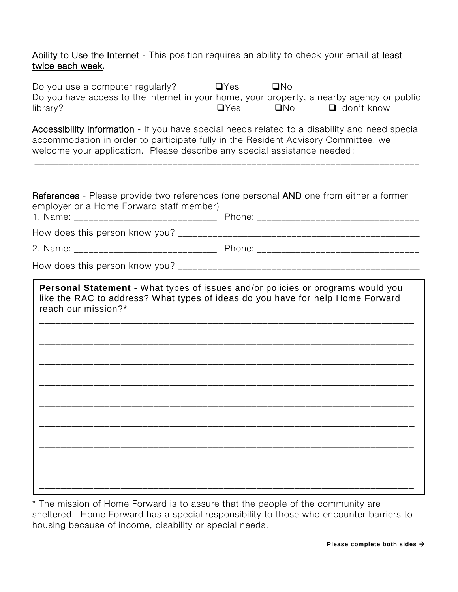Ability to Use the Internet - This position requires an ability to check your email at least twice each week.

| Do you use a computer regularly?<br>Do you have access to the internet in your home, your property, a nearby agency or public<br>library?                                                                                                                        | $\Box$ Yes<br>$\Box$ Yes | $\Box$ No<br><b>EXERCISE</b> | $\Box$ l don't know |  |
|------------------------------------------------------------------------------------------------------------------------------------------------------------------------------------------------------------------------------------------------------------------|--------------------------|------------------------------|---------------------|--|
| Accessibility Information - If you have special needs related to a disability and need special<br>accommodation in order to participate fully in the Resident Advisory Committee, we<br>welcome your application. Please describe any special assistance needed: |                          |                              |                     |  |
| References - Please provide two references (one personal AND one from either a former<br>employer or a Home Forward staff member)                                                                                                                                |                          |                              |                     |  |
|                                                                                                                                                                                                                                                                  |                          |                              |                     |  |
|                                                                                                                                                                                                                                                                  |                          |                              |                     |  |
|                                                                                                                                                                                                                                                                  |                          |                              |                     |  |
| like the RAC to address? What types of ideas do you have for help Home Forward<br>reach our mission?*                                                                                                                                                            |                          |                              |                     |  |
|                                                                                                                                                                                                                                                                  |                          |                              |                     |  |
|                                                                                                                                                                                                                                                                  |                          |                              |                     |  |
|                                                                                                                                                                                                                                                                  |                          |                              |                     |  |
|                                                                                                                                                                                                                                                                  |                          |                              |                     |  |
|                                                                                                                                                                                                                                                                  |                          |                              |                     |  |
|                                                                                                                                                                                                                                                                  |                          |                              |                     |  |
|                                                                                                                                                                                                                                                                  |                          |                              |                     |  |
|                                                                                                                                                                                                                                                                  |                          |                              |                     |  |

\* The mission of Home Forward is to assure that the people of the community are \_sheltered. Home Forward has a special responsibility to those who encounter barriers to housing because of income, disability or special needs.